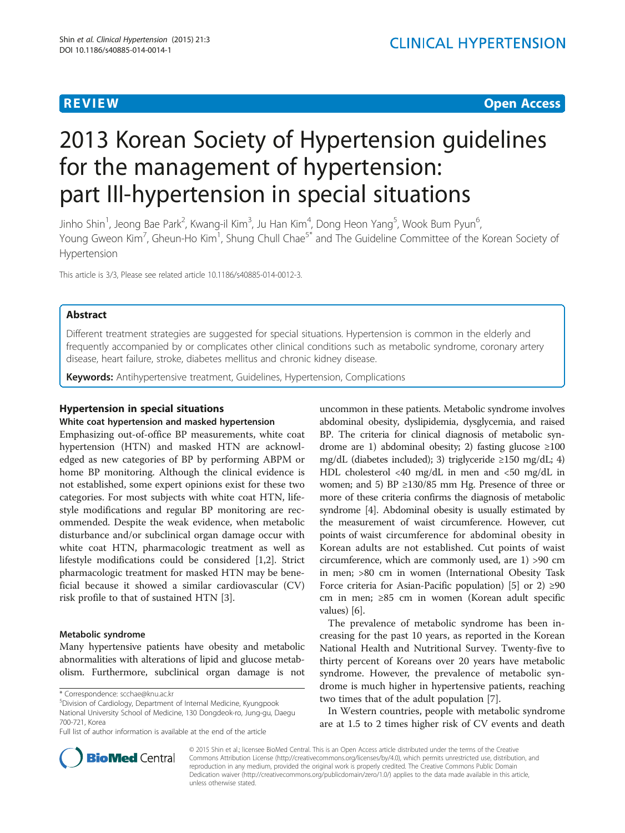**REVIEW CONTROL** CONTROL CONTROL CONTROL CONTROL CONTROL CONTROL CONTROL CONTROL CONTROL CONTROL CONTROL CONTROL CONTROL CONTROL CONTROL CONTROL CONTROL CONTROL CONTROL CONTROL CONTROL CONTROL CONTROL CONTROL CONTROL CONTR

# 2013 Korean Society of Hypertension guidelines for the management of hypertension: part III-hypertension in special situations

Jinho Shin<sup>1</sup>, Jeong Bae Park<sup>2</sup>, Kwang-il Kim<sup>3</sup>, Ju Han Kim<sup>4</sup>, Dong Heon Yang<sup>5</sup>, Wook Bum Pyun<sup>6</sup> י<br>, Young Gweon Kim<sup>7</sup>, Gheun-Ho Kim<sup>1</sup>, Shung Chull Chae<sup>5\*</sup> and The Guideline Committee of the Korean Society of Hypertension

This article is 3/3, Please see related article 10.1186/s40885-014-0012-3.

# Abstract

Different treatment strategies are suggested for special situations. Hypertension is common in the elderly and frequently accompanied by or complicates other clinical conditions such as metabolic syndrome, coronary artery disease, heart failure, stroke, diabetes mellitus and chronic kidney disease.

Keywords: Antihypertensive treatment, Guidelines, Hypertension, Complications

# Hypertension in special situations

#### White coat hypertension and masked hypertension

Emphasizing out-of-office BP measurements, white coat hypertension (HTN) and masked HTN are acknowledged as new categories of BP by performing ABPM or home BP monitoring. Although the clinical evidence is not established, some expert opinions exist for these two categories. For most subjects with white coat HTN, lifestyle modifications and regular BP monitoring are recommended. Despite the weak evidence, when metabolic disturbance and/or subclinical organ damage occur with white coat HTN, pharmacologic treatment as well as lifestyle modifications could be considered [\[1,2](#page-6-0)]. Strict pharmacologic treatment for masked HTN may be beneficial because it showed a similar cardiovascular (CV) risk profile to that of sustained HTN [[3\]](#page-6-0).

#### Metabolic syndrome

Many hypertensive patients have obesity and metabolic abnormalities with alterations of lipid and glucose metabolism. Furthermore, subclinical organ damage is not

\* Correspondence: [scchae@knu.ac.kr](mailto:scchae@knu.ac.kr) <sup>5</sup>

Division of Cardiology, Department of Internal Medicine, Kyungpook National University School of Medicine, 130 Dongdeok-ro, Jung-gu, Daegu 700-721, Korea

Full list of author information is available at the end of the article



The prevalence of metabolic syndrome has been increasing for the past 10 years, as reported in the Korean National Health and Nutritional Survey. Twenty-five to thirty percent of Koreans over 20 years have metabolic syndrome. However, the prevalence of metabolic syndrome is much higher in hypertensive patients, reaching two times that of the adult population [\[7](#page-7-0)].

In Western countries, people with metabolic syndrome are at 1.5 to 2 times higher risk of CV events and death



© 2015 Shin et al.; licensee BioMed Central. This is an Open Access article distributed under the terms of the Creative Commons Attribution License [\(http://creativecommons.org/licenses/by/4.0\)](http://creativecommons.org/licenses/by/4.0), which permits unrestricted use, distribution, and reproduction in any medium, provided the original work is properly credited. The Creative Commons Public Domain Dedication waiver [\(http://creativecommons.org/publicdomain/zero/1.0/](http://creativecommons.org/publicdomain/zero/1.0/)) applies to the data made available in this article, unless otherwise stated.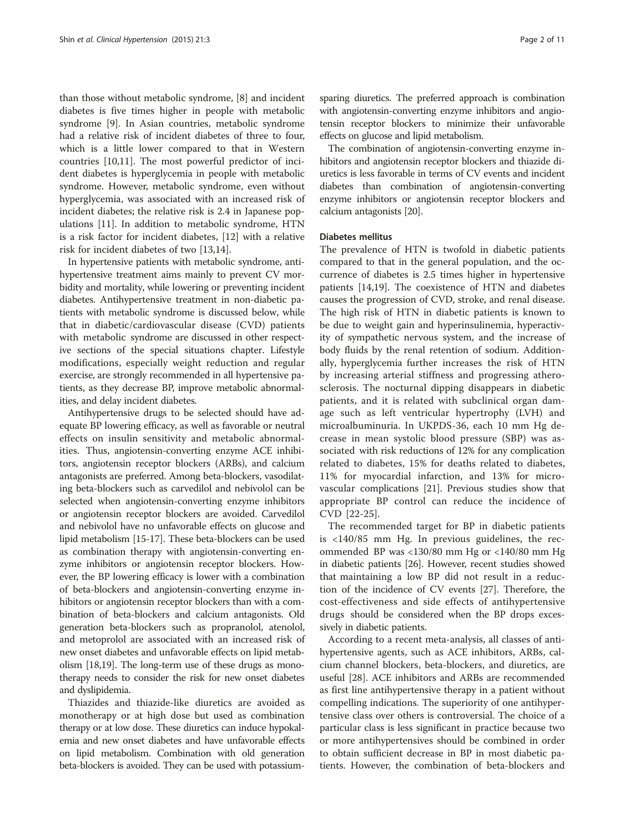than those without metabolic syndrome, [\[8](#page-7-0)] and incident diabetes is five times higher in people with metabolic syndrome [[9\]](#page-7-0). In Asian countries, metabolic syndrome had a relative risk of incident diabetes of three to four, which is a little lower compared to that in Western countries [[10,11\]](#page-7-0). The most powerful predictor of incident diabetes is hyperglycemia in people with metabolic syndrome. However, metabolic syndrome, even without hyperglycemia, was associated with an increased risk of incident diabetes; the relative risk is 2.4 in Japanese populations [\[11](#page-7-0)]. In addition to metabolic syndrome, HTN is a risk factor for incident diabetes, [[12\]](#page-7-0) with a relative risk for incident diabetes of two [\[13,14](#page-7-0)].

In hypertensive patients with metabolic syndrome, antihypertensive treatment aims mainly to prevent CV morbidity and mortality, while lowering or preventing incident diabetes. Antihypertensive treatment in non-diabetic patients with metabolic syndrome is discussed below, while that in diabetic/cardiovascular disease (CVD) patients with metabolic syndrome are discussed in other respective sections of the special situations chapter. Lifestyle modifications, especially weight reduction and regular exercise, are strongly recommended in all hypertensive patients, as they decrease BP, improve metabolic abnormalities, and delay incident diabetes.

Antihypertensive drugs to be selected should have adequate BP lowering efficacy, as well as favorable or neutral effects on insulin sensitivity and metabolic abnormalities. Thus, angiotensin-converting enzyme ACE inhibitors, angiotensin receptor blockers (ARBs), and calcium antagonists are preferred. Among beta-blockers, vasodilating beta-blockers such as carvedilol and nebivolol can be selected when angiotensin-converting enzyme inhibitors or angiotensin receptor blockers are avoided. Carvedilol and nebivolol have no unfavorable effects on glucose and lipid metabolism [[15](#page-7-0)-[17](#page-7-0)]. These beta-blockers can be used as combination therapy with angiotensin-converting enzyme inhibitors or angiotensin receptor blockers. However, the BP lowering efficacy is lower with a combination of beta-blockers and angiotensin-converting enzyme inhibitors or angiotensin receptor blockers than with a combination of beta-blockers and calcium antagonists. Old generation beta-blockers such as propranolol, atenolol, and metoprolol are associated with an increased risk of new onset diabetes and unfavorable effects on lipid metabolism [\[18,19](#page-7-0)]. The long-term use of these drugs as monotherapy needs to consider the risk for new onset diabetes and dyslipidemia.

Thiazides and thiazide-like diuretics are avoided as monotherapy or at high dose but used as combination therapy or at low dose. These diuretics can induce hypokalemia and new onset diabetes and have unfavorable effects on lipid metabolism. Combination with old generation beta-blockers is avoided. They can be used with potassiumsparing diuretics. The preferred approach is combination with angiotensin-converting enzyme inhibitors and angiotensin receptor blockers to minimize their unfavorable effects on glucose and lipid metabolism.

The combination of angiotensin-converting enzyme inhibitors and angiotensin receptor blockers and thiazide diuretics is less favorable in terms of CV events and incident diabetes than combination of angiotensin-converting enzyme inhibitors or angiotensin receptor blockers and calcium antagonists [\[20\]](#page-7-0).

#### Diabetes mellitus

The prevalence of HTN is twofold in diabetic patients compared to that in the general population, and the occurrence of diabetes is 2.5 times higher in hypertensive patients [\[14,19](#page-7-0)]. The coexistence of HTN and diabetes causes the progression of CVD, stroke, and renal disease. The high risk of HTN in diabetic patients is known to be due to weight gain and hyperinsulinemia, hyperactivity of sympathetic nervous system, and the increase of body fluids by the renal retention of sodium. Additionally, hyperglycemia further increases the risk of HTN by increasing arterial stiffness and progressing atherosclerosis. The nocturnal dipping disappears in diabetic patients, and it is related with subclinical organ damage such as left ventricular hypertrophy (LVH) and microalbuminuria. In UKPDS-36, each 10 mm Hg decrease in mean systolic blood pressure (SBP) was associated with risk reductions of 12% for any complication related to diabetes, 15% for deaths related to diabetes, 11% for myocardial infarction, and 13% for microvascular complications [[21](#page-7-0)]. Previous studies show that appropriate BP control can reduce the incidence of CVD [[22](#page-7-0)-[25\]](#page-7-0).

The recommended target for BP in diabetic patients is <140/85 mm Hg. In previous guidelines, the recommended BP was <130/80 mm Hg or <140/80 mm Hg in diabetic patients [\[26\]](#page-7-0). However, recent studies showed that maintaining a low BP did not result in a reduction of the incidence of CV events [[27](#page-7-0)]. Therefore, the cost-effectiveness and side effects of antihypertensive drugs should be considered when the BP drops excessively in diabetic patients.

According to a recent meta-analysis, all classes of antihypertensive agents, such as ACE inhibitors, ARBs, calcium channel blockers, beta-blockers, and diuretics, are useful [[28](#page-7-0)]. ACE inhibitors and ARBs are recommended as first line antihypertensive therapy in a patient without compelling indications. The superiority of one antihypertensive class over others is controversial. The choice of a particular class is less significant in practice because two or more antihypertensives should be combined in order to obtain sufficient decrease in BP in most diabetic patients. However, the combination of beta-blockers and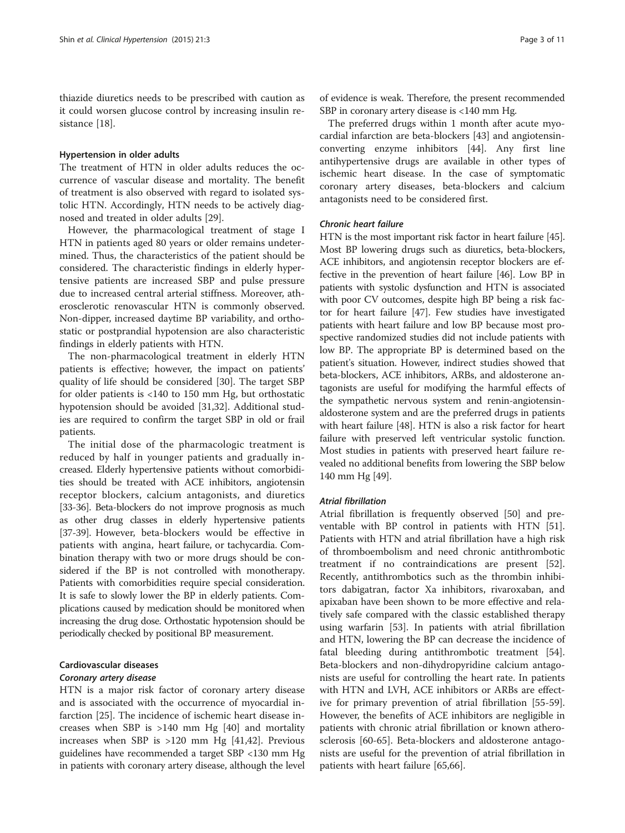thiazide diuretics needs to be prescribed with caution as it could worsen glucose control by increasing insulin resistance [[18\]](#page-7-0).

#### Hypertension in older adults

The treatment of HTN in older adults reduces the occurrence of vascular disease and mortality. The benefit of treatment is also observed with regard to isolated systolic HTN. Accordingly, HTN needs to be actively diagnosed and treated in older adults [\[29](#page-7-0)].

However, the pharmacological treatment of stage I HTN in patients aged 80 years or older remains undetermined. Thus, the characteristics of the patient should be considered. The characteristic findings in elderly hypertensive patients are increased SBP and pulse pressure due to increased central arterial stiffness. Moreover, atherosclerotic renovascular HTN is commonly observed. Non-dipper, increased daytime BP variability, and orthostatic or postprandial hypotension are also characteristic findings in elderly patients with HTN.

The non-pharmacological treatment in elderly HTN patients is effective; however, the impact on patients' quality of life should be considered [\[30](#page-7-0)]. The target SBP for older patients is <140 to 150 mm Hg, but orthostatic hypotension should be avoided [\[31,32\]](#page-7-0). Additional studies are required to confirm the target SBP in old or frail patients.

The initial dose of the pharmacologic treatment is reduced by half in younger patients and gradually increased. Elderly hypertensive patients without comorbidities should be treated with ACE inhibitors, angiotensin receptor blockers, calcium antagonists, and diuretics [[33](#page-7-0)-[36\]](#page-7-0). Beta-blockers do not improve prognosis as much as other drug classes in elderly hypertensive patients [[37](#page-7-0)-[39\]](#page-7-0). However, beta-blockers would be effective in patients with angina, heart failure, or tachycardia. Combination therapy with two or more drugs should be considered if the BP is not controlled with monotherapy. Patients with comorbidities require special consideration. It is safe to slowly lower the BP in elderly patients. Complications caused by medication should be monitored when increasing the drug dose. Orthostatic hypotension should be periodically checked by positional BP measurement.

#### Cardiovascular diseases

#### Coronary artery disease

HTN is a major risk factor of coronary artery disease and is associated with the occurrence of myocardial infarction [[25](#page-7-0)]. The incidence of ischemic heart disease increases when SBP is >140 mm Hg [[40\]](#page-7-0) and mortality increases when SBP is >120 mm Hg [[41,42](#page-7-0)]. Previous guidelines have recommended a target SBP <130 mm Hg in patients with coronary artery disease, although the level

of evidence is weak. Therefore, the present recommended SBP in coronary artery disease is <140 mm Hg.

The preferred drugs within 1 month after acute myocardial infarction are beta-blockers [[43\]](#page-7-0) and angiotensinconverting enzyme inhibitors [[44](#page-7-0)]. Any first line antihypertensive drugs are available in other types of ischemic heart disease. In the case of symptomatic coronary artery diseases, beta-blockers and calcium antagonists need to be considered first.

#### Chronic heart failure

HTN is the most important risk factor in heart failure [[45](#page-8-0)]. Most BP lowering drugs such as diuretics, beta-blockers, ACE inhibitors, and angiotensin receptor blockers are effective in the prevention of heart failure [\[46\]](#page-8-0). Low BP in patients with systolic dysfunction and HTN is associated with poor CV outcomes, despite high BP being a risk factor for heart failure [\[47](#page-8-0)]. Few studies have investigated patients with heart failure and low BP because most prospective randomized studies did not include patients with low BP. The appropriate BP is determined based on the patient's situation. However, indirect studies showed that beta-blockers, ACE inhibitors, ARBs, and aldosterone antagonists are useful for modifying the harmful effects of the sympathetic nervous system and renin-angiotensinaldosterone system and are the preferred drugs in patients with heart failure [[48](#page-8-0)]. HTN is also a risk factor for heart failure with preserved left ventricular systolic function. Most studies in patients with preserved heart failure revealed no additional benefits from lowering the SBP below 140 mm Hg [\[49](#page-8-0)].

# Atrial fibrillation

Atrial fibrillation is frequently observed [\[50](#page-8-0)] and preventable with BP control in patients with HTN [\[51](#page-8-0)]. Patients with HTN and atrial fibrillation have a high risk of thromboembolism and need chronic antithrombotic treatment if no contraindications are present [\[52](#page-8-0)]. Recently, antithrombotics such as the thrombin inhibitors dabigatran, factor Xa inhibitors, rivaroxaban, and apixaban have been shown to be more effective and relatively safe compared with the classic established therapy using warfarin [\[53](#page-8-0)]. In patients with atrial fibrillation and HTN, lowering the BP can decrease the incidence of fatal bleeding during antithrombotic treatment [\[54](#page-8-0)]. Beta-blockers and non-dihydropyridine calcium antagonists are useful for controlling the heart rate. In patients with HTN and LVH, ACE inhibitors or ARBs are effective for primary prevention of atrial fibrillation [\[55-59](#page-8-0)]. However, the benefits of ACE inhibitors are negligible in patients with chronic atrial fibrillation or known atherosclerosis [[60-65](#page-8-0)]. Beta-blockers and aldosterone antagonists are useful for the prevention of atrial fibrillation in patients with heart failure [\[65,66](#page-8-0)].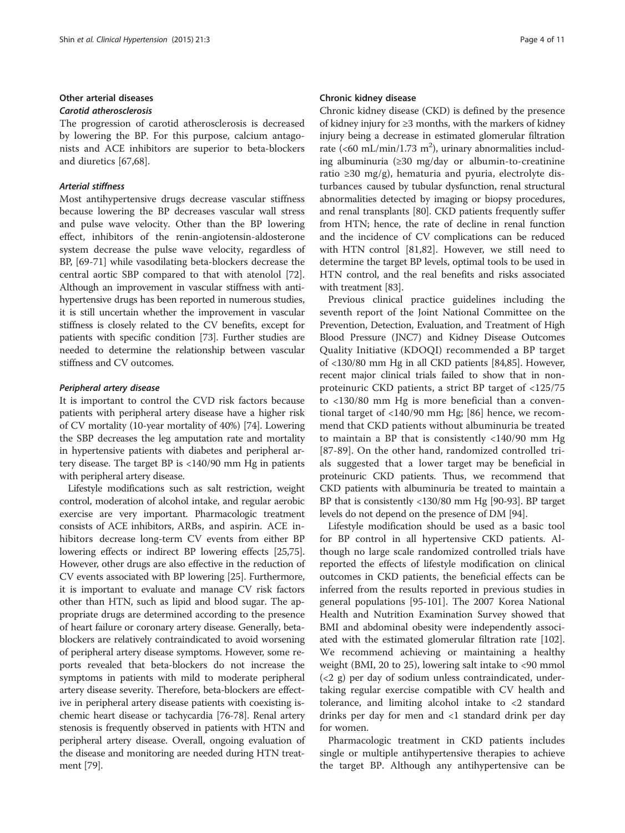### Other arterial diseases

#### Carotid atherosclerosis

The progression of carotid atherosclerosis is decreased by lowering the BP. For this purpose, calcium antagonists and ACE inhibitors are superior to beta-blockers and diuretics [[67,68\]](#page-8-0).

#### Arterial stiffness

Most antihypertensive drugs decrease vascular stiffness because lowering the BP decreases vascular wall stress and pulse wave velocity. Other than the BP lowering effect, inhibitors of the renin-angiotensin-aldosterone system decrease the pulse wave velocity, regardless of BP, [\[69](#page-8-0)-[71\]](#page-8-0) while vasodilating beta-blockers decrease the central aortic SBP compared to that with atenolol [\[72](#page-8-0)]. Although an improvement in vascular stiffness with antihypertensive drugs has been reported in numerous studies, it is still uncertain whether the improvement in vascular stiffness is closely related to the CV benefits, except for patients with specific condition [\[73\]](#page-8-0). Further studies are needed to determine the relationship between vascular stiffness and CV outcomes.

#### Peripheral artery disease

It is important to control the CVD risk factors because patients with peripheral artery disease have a higher risk of CV mortality (10-year mortality of 40%) [\[74\]](#page-8-0). Lowering the SBP decreases the leg amputation rate and mortality in hypertensive patients with diabetes and peripheral artery disease. The target BP is <140/90 mm Hg in patients with peripheral artery disease.

Lifestyle modifications such as salt restriction, weight control, moderation of alcohol intake, and regular aerobic exercise are very important. Pharmacologic treatment consists of ACE inhibitors, ARBs, and aspirin. ACE inhibitors decrease long-term CV events from either BP lowering effects or indirect BP lowering effects [\[25,](#page-7-0)[75](#page-8-0)]. However, other drugs are also effective in the reduction of CV events associated with BP lowering [[25](#page-7-0)]. Furthermore, it is important to evaluate and manage CV risk factors other than HTN, such as lipid and blood sugar. The appropriate drugs are determined according to the presence of heart failure or coronary artery disease. Generally, betablockers are relatively contraindicated to avoid worsening of peripheral artery disease symptoms. However, some reports revealed that beta-blockers do not increase the symptoms in patients with mild to moderate peripheral artery disease severity. Therefore, beta-blockers are effective in peripheral artery disease patients with coexisting ischemic heart disease or tachycardia [[76](#page-8-0)-[78](#page-8-0)]. Renal artery stenosis is frequently observed in patients with HTN and peripheral artery disease. Overall, ongoing evaluation of the disease and monitoring are needed during HTN treatment [\[79\]](#page-8-0).

#### Chronic kidney disease

Chronic kidney disease (CKD) is defined by the presence of kidney injury for ≥3 months, with the markers of kidney injury being a decrease in estimated glomerular filtration rate (<60 mL/min/1.73 m<sup>2</sup>), urinary abnormalities including albuminuria (≥30 mg/day or albumin-to-creatinine ratio ≥30 mg/g), hematuria and pyuria, electrolyte disturbances caused by tubular dysfunction, renal structural abnormalities detected by imaging or biopsy procedures, and renal transplants [\[80\]](#page-8-0). CKD patients frequently suffer from HTN; hence, the rate of decline in renal function and the incidence of CV complications can be reduced with HTN control [[81,82](#page-8-0)]. However, we still need to determine the target BP levels, optimal tools to be used in HTN control, and the real benefits and risks associated with treatment [[83](#page-8-0)].

Previous clinical practice guidelines including the seventh report of the Joint National Committee on the Prevention, Detection, Evaluation, and Treatment of High Blood Pressure (JNC7) and Kidney Disease Outcomes Quality Initiative (KDOQI) recommended a BP target of <130/80 mm Hg in all CKD patients [\[84,85\]](#page-8-0). However, recent major clinical trials failed to show that in nonproteinuric CKD patients, a strict BP target of <125/75 to <130/80 mm Hg is more beneficial than a conventional target of <140/90 mm Hg; [[86](#page-8-0)] hence, we recommend that CKD patients without albuminuria be treated to maintain a BP that is consistently <140/90 mm Hg [[87-89\]](#page-9-0). On the other hand, randomized controlled trials suggested that a lower target may be beneficial in proteinuric CKD patients. Thus, we recommend that CKD patients with albuminuria be treated to maintain a BP that is consistently <130/80 mm Hg [\[90-93](#page-9-0)]. BP target levels do not depend on the presence of DM [\[94\]](#page-9-0).

Lifestyle modification should be used as a basic tool for BP control in all hypertensive CKD patients. Although no large scale randomized controlled trials have reported the effects of lifestyle modification on clinical outcomes in CKD patients, the beneficial effects can be inferred from the results reported in previous studies in general populations [[95](#page-9-0)-[101\]](#page-9-0). The 2007 Korea National Health and Nutrition Examination Survey showed that BMI and abdominal obesity were independently associated with the estimated glomerular filtration rate [[102](#page-9-0)]. We recommend achieving or maintaining a healthy weight (BMI, 20 to 25), lowering salt intake to <90 mmol (<2 g) per day of sodium unless contraindicated, undertaking regular exercise compatible with CV health and tolerance, and limiting alcohol intake to <2 standard drinks per day for men and <1 standard drink per day for women.

Pharmacologic treatment in CKD patients includes single or multiple antihypertensive therapies to achieve the target BP. Although any antihypertensive can be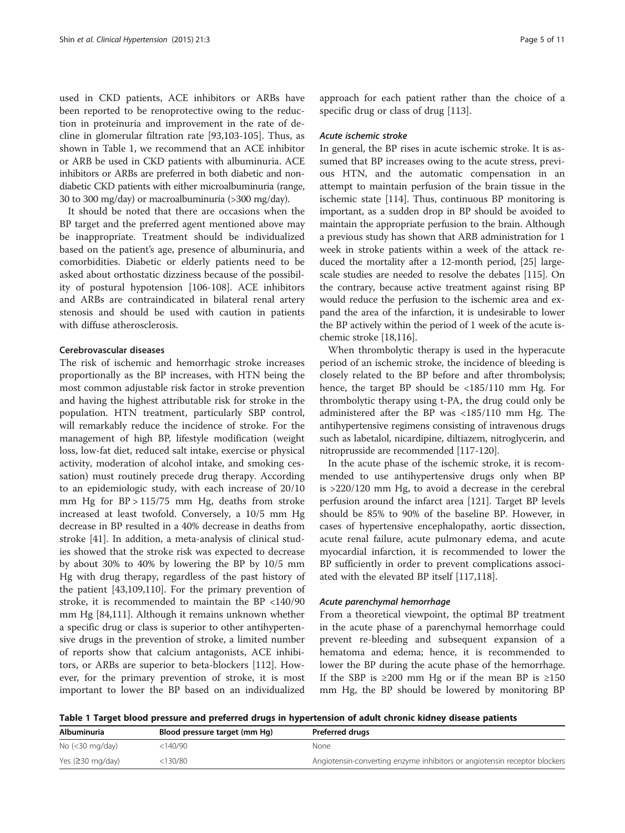used in CKD patients, ACE inhibitors or ARBs have been reported to be renoprotective owing to the reduction in proteinuria and improvement in the rate of decline in glomerular filtration rate [\[93,103](#page-9-0)-[105](#page-9-0)]. Thus, as shown in Table 1, we recommend that an ACE inhibitor or ARB be used in CKD patients with albuminuria. ACE inhibitors or ARBs are preferred in both diabetic and nondiabetic CKD patients with either microalbuminuria (range, 30 to 300 mg/day) or macroalbuminuria (>300 mg/day).

It should be noted that there are occasions when the BP target and the preferred agent mentioned above may be inappropriate. Treatment should be individualized based on the patient's age, presence of albuminuria, and comorbidities. Diabetic or elderly patients need to be asked about orthostatic dizziness because of the possibility of postural hypotension [[106-108\]](#page-9-0). ACE inhibitors and ARBs are contraindicated in bilateral renal artery stenosis and should be used with caution in patients with diffuse atherosclerosis.

# Cerebrovascular diseases

The risk of ischemic and hemorrhagic stroke increases proportionally as the BP increases, with HTN being the most common adjustable risk factor in stroke prevention and having the highest attributable risk for stroke in the population. HTN treatment, particularly SBP control, will remarkably reduce the incidence of stroke. For the management of high BP, lifestyle modification (weight loss, low-fat diet, reduced salt intake, exercise or physical activity, moderation of alcohol intake, and smoking cessation) must routinely precede drug therapy. According to an epidemiologic study, with each increase of 20/10 mm Hg for BP > 115/75 mm Hg, deaths from stroke increased at least twofold. Conversely, a 10/5 mm Hg decrease in BP resulted in a 40% decrease in deaths from stroke [\[41](#page-7-0)]. In addition, a meta-analysis of clinical studies showed that the stroke risk was expected to decrease by about 30% to 40% by lowering the BP by 10/5 mm Hg with drug therapy, regardless of the past history of the patient [[43](#page-7-0),[109,110](#page-9-0)]. For the primary prevention of stroke, it is recommended to maintain the BP <140/90 mm Hg [[84,](#page-8-0)[111](#page-9-0)]. Although it remains unknown whether a specific drug or class is superior to other antihypertensive drugs in the prevention of stroke, a limited number of reports show that calcium antagonists, ACE inhibitors, or ARBs are superior to beta-blockers [[112\]](#page-9-0). However, for the primary prevention of stroke, it is most important to lower the BP based on an individualized

approach for each patient rather than the choice of a specific drug or class of drug [\[113](#page-9-0)].

#### Acute ischemic stroke

In general, the BP rises in acute ischemic stroke. It is assumed that BP increases owing to the acute stress, previous HTN, and the automatic compensation in an attempt to maintain perfusion of the brain tissue in the ischemic state [\[114\]](#page-9-0). Thus, continuous BP monitoring is important, as a sudden drop in BP should be avoided to maintain the appropriate perfusion to the brain. Although a previous study has shown that ARB administration for 1 week in stroke patients within a week of the attack reduced the mortality after a 12-month period, [\[25\]](#page-7-0) largescale studies are needed to resolve the debates [\[115\]](#page-9-0). On the contrary, because active treatment against rising BP would reduce the perfusion to the ischemic area and expand the area of the infarction, it is undesirable to lower the BP actively within the period of 1 week of the acute ischemic stroke [\[18,](#page-7-0)[116](#page-9-0)].

When thrombolytic therapy is used in the hyperacute period of an ischemic stroke, the incidence of bleeding is closely related to the BP before and after thrombolysis; hence, the target BP should be <185/110 mm Hg. For thrombolytic therapy using t-PA, the drug could only be administered after the BP was <185/110 mm Hg. The antihypertensive regimens consisting of intravenous drugs such as labetalol, nicardipine, diltiazem, nitroglycerin, and nitroprusside are recommended [\[117-120\]](#page-9-0).

In the acute phase of the ischemic stroke, it is recommended to use antihypertensive drugs only when BP is >220/120 mm Hg, to avoid a decrease in the cerebral perfusion around the infarct area [[121](#page-9-0)]. Target BP levels should be 85% to 90% of the baseline BP. However, in cases of hypertensive encephalopathy, aortic dissection, acute renal failure, acute pulmonary edema, and acute myocardial infarction, it is recommended to lower the BP sufficiently in order to prevent complications associated with the elevated BP itself [\[117,118\]](#page-9-0).

#### Acute parenchymal hemorrhage

From a theoretical viewpoint, the optimal BP treatment in the acute phase of a parenchymal hemorrhage could prevent re-bleeding and subsequent expansion of a hematoma and edema; hence, it is recommended to lower the BP during the acute phase of the hemorrhage. If the SBP is ≥200 mm Hg or if the mean BP is ≥150 mm Hg, the BP should be lowered by monitoring BP

Table 1 Target blood pressure and preferred drugs in hypertension of adult chronic kidney disease patients

| <b>Albuminuria</b>         | Blood pressure target (mm Hg) | <b>Preferred drugs</b>                                                    |
|----------------------------|-------------------------------|---------------------------------------------------------------------------|
| No $(<$ 30 mg/day)         | <140/90                       | None                                                                      |
| Yes $(230 \text{ mg/day})$ | $<$ 130/80                    | Angiotensin-converting enzyme inhibitors or angiotensin receptor blockers |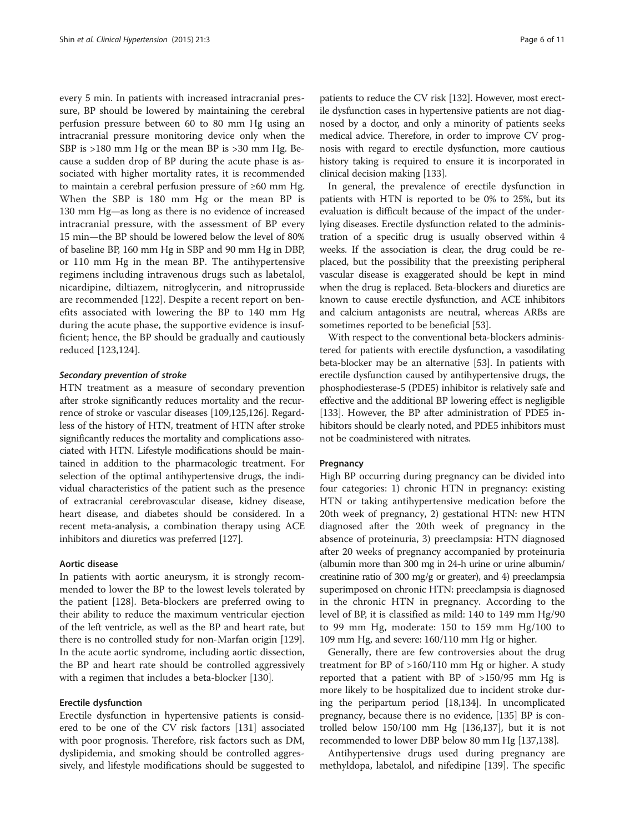every 5 min. In patients with increased intracranial pressure, BP should be lowered by maintaining the cerebral perfusion pressure between 60 to 80 mm Hg using an intracranial pressure monitoring device only when the SBP is >180 mm Hg or the mean BP is >30 mm Hg. Because a sudden drop of BP during the acute phase is associated with higher mortality rates, it is recommended to maintain a cerebral perfusion pressure of ≥60 mm Hg. When the SBP is 180 mm Hg or the mean BP is 130 mm Hg—as long as there is no evidence of increased intracranial pressure, with the assessment of BP every 15 min—the BP should be lowered below the level of 80% of baseline BP, 160 mm Hg in SBP and 90 mm Hg in DBP, or 110 mm Hg in the mean BP. The antihypertensive regimens including intravenous drugs such as labetalol, nicardipine, diltiazem, nitroglycerin, and nitroprusside are recommended [[122\]](#page-9-0). Despite a recent report on benefits associated with lowering the BP to 140 mm Hg during the acute phase, the supportive evidence is insufficient; hence, the BP should be gradually and cautiously reduced [[123,124](#page-9-0)].

#### Secondary prevention of stroke

HTN treatment as a measure of secondary prevention after stroke significantly reduces mortality and the recurrence of stroke or vascular diseases [[109,125,126](#page-9-0)]. Regardless of the history of HTN, treatment of HTN after stroke significantly reduces the mortality and complications associated with HTN. Lifestyle modifications should be maintained in addition to the pharmacologic treatment. For selection of the optimal antihypertensive drugs, the individual characteristics of the patient such as the presence of extracranial cerebrovascular disease, kidney disease, heart disease, and diabetes should be considered. In a recent meta-analysis, a combination therapy using ACE inhibitors and diuretics was preferred [\[127](#page-9-0)].

### Aortic disease

In patients with aortic aneurysm, it is strongly recommended to lower the BP to the lowest levels tolerated by the patient [[128\]](#page-9-0). Beta-blockers are preferred owing to their ability to reduce the maximum ventricular ejection of the left ventricle, as well as the BP and heart rate, but there is no controlled study for non-Marfan origin [\[129](#page-10-0)]. In the acute aortic syndrome, including aortic dissection, the BP and heart rate should be controlled aggressively with a regimen that includes a beta-blocker [\[130\]](#page-10-0).

#### Erectile dysfunction

Erectile dysfunction in hypertensive patients is considered to be one of the CV risk factors [[131\]](#page-10-0) associated with poor prognosis. Therefore, risk factors such as DM, dyslipidemia, and smoking should be controlled aggressively, and lifestyle modifications should be suggested to patients to reduce the CV risk [[132](#page-10-0)]. However, most erectile dysfunction cases in hypertensive patients are not diagnosed by a doctor, and only a minority of patients seeks medical advice. Therefore, in order to improve CV prognosis with regard to erectile dysfunction, more cautious history taking is required to ensure it is incorporated in clinical decision making [\[133\]](#page-10-0).

In general, the prevalence of erectile dysfunction in patients with HTN is reported to be 0% to 25%, but its evaluation is difficult because of the impact of the underlying diseases. Erectile dysfunction related to the administration of a specific drug is usually observed within 4 weeks. If the association is clear, the drug could be replaced, but the possibility that the preexisting peripheral vascular disease is exaggerated should be kept in mind when the drug is replaced. Beta-blockers and diuretics are known to cause erectile dysfunction, and ACE inhibitors and calcium antagonists are neutral, whereas ARBs are sometimes reported to be beneficial [\[53\]](#page-8-0).

With respect to the conventional beta-blockers administered for patients with erectile dysfunction, a vasodilating beta-blocker may be an alternative [\[53](#page-8-0)]. In patients with erectile dysfunction caused by antihypertensive drugs, the phosphodiesterase-5 (PDE5) inhibitor is relatively safe and effective and the additional BP lowering effect is negligible [[133](#page-10-0)]. However, the BP after administration of PDE5 inhibitors should be clearly noted, and PDE5 inhibitors must not be coadministered with nitrates.

#### Pregnancy

High BP occurring during pregnancy can be divided into four categories: 1) chronic HTN in pregnancy: existing HTN or taking antihypertensive medication before the 20th week of pregnancy, 2) gestational HTN: new HTN diagnosed after the 20th week of pregnancy in the absence of proteinuria, 3) preeclampsia: HTN diagnosed after 20 weeks of pregnancy accompanied by proteinuria (albumin more than 300 mg in 24-h urine or urine albumin/ creatinine ratio of 300 mg/g or greater), and 4) preeclampsia superimposed on chronic HTN: preeclampsia is diagnosed in the chronic HTN in pregnancy. According to the level of BP, it is classified as mild: 140 to 149 mm Hg/90 to 99 mm Hg, moderate: 150 to 159 mm Hg/100 to 109 mm Hg, and severe: 160/110 mm Hg or higher.

Generally, there are few controversies about the drug treatment for BP of >160/110 mm Hg or higher. A study reported that a patient with BP of >150/95 mm Hg is more likely to be hospitalized due to incident stroke during the peripartum period [\[18](#page-7-0)[,134\]](#page-10-0). In uncomplicated pregnancy, because there is no evidence, [[135](#page-10-0)] BP is controlled below 150/100 mm Hg [[136,137\]](#page-10-0), but it is not recommended to lower DBP below 80 mm Hg [[137,138\]](#page-10-0).

Antihypertensive drugs used during pregnancy are methyldopa, labetalol, and nifedipine [[139\]](#page-10-0). The specific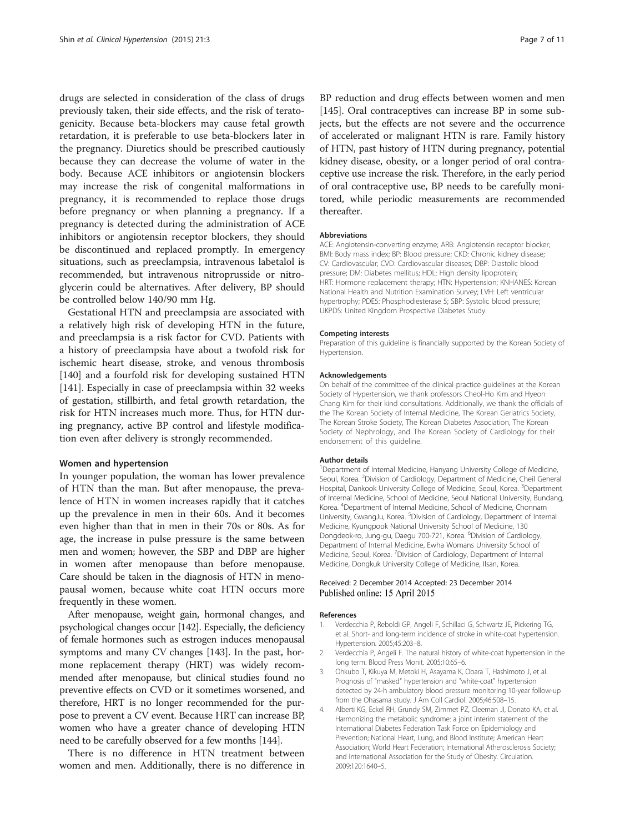<span id="page-6-0"></span>drugs are selected in consideration of the class of drugs previously taken, their side effects, and the risk of teratogenicity. Because beta-blockers may cause fetal growth retardation, it is preferable to use beta-blockers later in the pregnancy. Diuretics should be prescribed cautiously because they can decrease the volume of water in the body. Because ACE inhibitors or angiotensin blockers may increase the risk of congenital malformations in pregnancy, it is recommended to replace those drugs before pregnancy or when planning a pregnancy. If a pregnancy is detected during the administration of ACE inhibitors or angiotensin receptor blockers, they should be discontinued and replaced promptly. In emergency situations, such as preeclampsia, intravenous labetalol is recommended, but intravenous nitroprusside or nitroglycerin could be alternatives. After delivery, BP should be controlled below 140/90 mm Hg.

Gestational HTN and preeclampsia are associated with a relatively high risk of developing HTN in the future, and preeclampsia is a risk factor for CVD. Patients with a history of preeclampsia have about a twofold risk for ischemic heart disease, stroke, and venous thrombosis [[140\]](#page-10-0) and a fourfold risk for developing sustained HTN [[141\]](#page-10-0). Especially in case of preeclampsia within 32 weeks of gestation, stillbirth, and fetal growth retardation, the risk for HTN increases much more. Thus, for HTN during pregnancy, active BP control and lifestyle modification even after delivery is strongly recommended.

#### Women and hypertension

In younger population, the woman has lower prevalence of HTN than the man. But after menopause, the prevalence of HTN in women increases rapidly that it catches up the prevalence in men in their 60s. And it becomes even higher than that in men in their 70s or 80s. As for age, the increase in pulse pressure is the same between men and women; however, the SBP and DBP are higher in women after menopause than before menopause. Care should be taken in the diagnosis of HTN in menopausal women, because white coat HTN occurs more frequently in these women.

After menopause, weight gain, hormonal changes, and psychological changes occur [[142\]](#page-10-0). Especially, the deficiency of female hormones such as estrogen induces menopausal symptoms and many CV changes [\[143](#page-10-0)]. In the past, hormone replacement therapy (HRT) was widely recommended after menopause, but clinical studies found no preventive effects on CVD or it sometimes worsened, and therefore, HRT is no longer recommended for the purpose to prevent a CV event. Because HRT can increase BP, women who have a greater chance of developing HTN need to be carefully observed for a few months [[144](#page-10-0)].

There is no difference in HTN treatment between women and men. Additionally, there is no difference in

BP reduction and drug effects between women and men [[145\]](#page-10-0). Oral contraceptives can increase BP in some subjects, but the effects are not severe and the occurrence of accelerated or malignant HTN is rare. Family history of HTN, past history of HTN during pregnancy, potential kidney disease, obesity, or a longer period of oral contraceptive use increase the risk. Therefore, in the early period of oral contraceptive use, BP needs to be carefully monitored, while periodic measurements are recommended thereafter.

#### **Abbreviations**

ACE: Angiotensin-converting enzyme; ARB: Angiotensin receptor blocker; BMI: Body mass index; BP: Blood pressure; CKD: Chronic kidney disease; CV: Cardiovascular; CVD: Cardiovascular diseases; DBP: Diastolic blood pressure; DM: Diabetes mellitus; HDL: High density lipoprotein; HRT: Hormone replacement therapy; HTN: Hypertension; KNHANES: Korean National Health and Nutrition Examination Survey; LVH: Left ventricular hypertrophy; PDE5: Phosphodiesterase 5; SBP: Systolic blood pressure; UKPDS: United Kingdom Prospective Diabetes Study.

#### Competing interests

Preparation of this guideline is financially supported by the Korean Society of Hypertension.

#### Acknowledgements

On behalf of the committee of the clinical practice guidelines at the Korean Society of Hypertension, we thank professors Cheol-Ho Kim and Hyeon Chang Kim for their kind consultations. Additionally, we thank the officials of the The Korean Society of Internal Medicine, The Korean Geriatrics Society, The Korean Stroke Society, The Korean Diabetes Association, The Korean Society of Nephrology, and The Korean Society of Cardiology for their endorsement of this guideline.

#### Author details

<sup>1</sup>Department of Internal Medicine, Hanyang University College of Medicine, Seoul, Korea. <sup>2</sup> Division of Cardiology, Department of Medicine, Cheil General Hospital, Dankook University College of Medicine, Seoul, Korea. <sup>3</sup>Department of Internal Medicine, School of Medicine, Seoul National University, Bundang, Korea. <sup>4</sup> Department of Internal Medicine, School of Medicine, Chonnam University, GwangJu, Korea. <sup>5</sup>Division of Cardiology, Department of Internal Medicine, Kyungpook National University School of Medicine, 130 Dongdeok-ro, Jung-gu, Daegu 700-721, Korea. <sup>6</sup>Division of Cardiology Department of Internal Medicine, Ewha Womans University School of Medicine, Seoul, Korea. <sup>7</sup> Division of Cardiology, Department of Internal Medicine, Dongkuk University College of Medicine, Ilsan, Korea.

#### Received: 2 December 2014 Accepted: 23 December 2014 Published online: 15 April 2015

#### References

- 1. Verdecchia P, Reboldi GP, Angeli F, Schillaci G, Schwartz JE, Pickering TG, et al. Short- and long-term incidence of stroke in white-coat hypertension. Hypertension. 2005;45:203–8.
- 2. Verdecchia P, Angeli F. The natural history of white-coat hypertension in the long term. Blood Press Monit. 2005;10:65–6.
- 3. Ohkubo T, Kikuya M, Metoki H, Asayama K, Obara T, Hashimoto J, et al. Prognosis of "masked" hypertension and "white-coat" hypertension detected by 24-h ambulatory blood pressure monitoring 10-year follow-up from the Ohasama study. J Am Coll Cardiol. 2005;46:508–15.
- 4. Alberti KG, Eckel RH, Grundy SM, Zimmet PZ, Cleeman JI, Donato KA, et al. Harmonizing the metabolic syndrome: a joint interim statement of the International Diabetes Federation Task Force on Epidemiology and Prevention; National Heart, Lung, and Blood Institute; American Heart Association; World Heart Federation; International Atherosclerosis Society; and International Association for the Study of Obesity. Circulation. 2009;120:1640–5.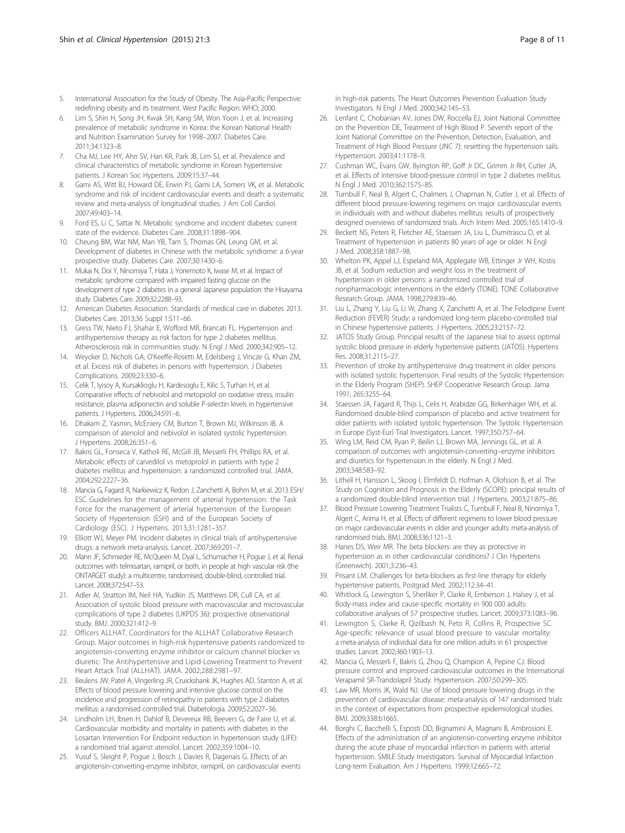- <span id="page-7-0"></span>5. International Association for the Study of Obesity. The Asia-Pacific Perspective: redefining obesity and its treatment. West Pacific Region: WHO; 2000.
- 6. Lim S, Shin H, Song JH, Kwak SH, Kang SM, Won Yoon J, et al. Increasing prevalence of metabolic syndrome in Korea: the Korean National Health and Nutrition Examination Survey for 1998–2007. Diabetes Care. 2011;34:1323–8.
- 7. Cha MJ, Lee HY, Ahn SV, Han KR, Park JB, Lim SJ, et al. Prevalence and clinical characteristics of metabolic syndrome in Korean hypertensive patients. J Korean Soc Hypertens. 2009;15:37–44.
- Gami AS, Witt BJ, Howard DE, Erwin PJ, Gami LA, Somers VK, et al. Metabolic syndrome and risk of incident cardiovascular events and death: a systematic review and meta-analysis of longitudinal studies. J Am Coll Cardiol. 2007;49:403–14.
- 9. Ford ES, Li C, Sattar N. Metabolic syndrome and incident diabetes: current state of the evidence. Diabetes Care. 2008;31:1898–904.
- 10. Cheung BM, Wat NM, Man YB, Tam S, Thomas GN, Leung GM, et al. Development of diabetes in Chinese with the metabolic syndrome: a 6-year prospective study. Diabetes Care. 2007;30:1430–6.
- 11. Mukai N, Doi Y, Ninomiya T, Hata J, Yonemoto K, Iwase M, et al. Impact of metabolic syndrome compared with impaired fasting glucose on the development of type 2 diabetes in a general Japanese population: the Hisayama study. Diabetes Care. 2009;32:2288–93.
- 12. American Diabetes Association. Standards of medical care in diabetes 2013. Diabetes Care. 2013;36 Suppl 1:S11–66.
- 13. Gress TW, Nieto FJ, Shahar E, Wofford MR, Brancati FL. Hypertension and antihypertensive therapy as risk factors for type 2 diabetes mellitus. Atherosclerosis risk in communities study. N Engl J Med. 2000;342:905–12.
- 14. Weycker D, Nichols GA, O'Keeffe-Rosetti M, Edelsberg J, Vincze G, Khan ZM, et al. Excess risk of diabetes in persons with hypertension. J Diabetes Complications. 2009;23:330–6.
- 15. Celik T, Iyisoy A, Kursaklioglu H, Kardesoglu E, Kilic S, Turhan H, et al. Comparative effects of nebivolol and metoprolol on oxidative stress, insulin resistance, plasma adiponectin and soluble P-selectin levels in hypertensive patients. J Hypertens. 2006;24:591–6.
- 16. Dhakam Z, Yasmin, McEniery CM, Burton T, Brown MJ, Wilkinson IB. A comparison of atenolol and nebivolol in isolated systolic hypertension. J Hypertens. 2008;26:351–6.
- 17. Bakris GL, Fonseca V, Katholi RE, McGill JB, Messerli FH, Phillips RA, et al. Metabolic effects of carvedilol vs metoprolol in patients with type 2 diabetes mellitus and hypertension: a randomized controlled trial. JAMA. 2004;292:2227–36.
- 18. Mancia G, Fagard R, Narkiewicz K, Redon J, Zanchetti A, Bohm M, et al. 2013 ESH/ ESC Guidelines for the management of arterial hypertension: the Task Force for the management of arterial hypertension of the European Society of Hypertension (ESH) and of the European Society of Cardiology (ESC). J Hypertens. 2013;31:1281–357.
- 19. Elliott WJ, Meyer PM. Incident diabetes in clinical trials of antihypertensive drugs: a network meta-analysis. Lancet. 2007;369:201–7.
- 20. Mann JF, Schmieder RE, McQueen M, Dyal L, Schumacher H, Pogue J, et al. Renal outcomes with telmisartan, ramipril, or both, in people at high vascular risk (the ONTARGET study): a multicentre, randomised, double-blind, controlled trial. Lancet. 2008;372:547–53.
- 21. Adler AI, Stratton IM, Neil HA, Yudkin JS, Matthews DR, Cull CA, et al. Association of systolic blood pressure with macrovascular and microvascular complications of type 2 diabetes (UKPDS 36): prospective observational study. BMJ. 2000;321:412–9.
- 22. Officers ALLHAT, Coordinators for the ALLHAT Collaborative Research Group. Major outcomes in high-risk hypertensive patients randomized to angiotensin-converting enzyme inhibitor or calcium channel blocker vs diuretic: The Antihypertensive and Lipid-Lowering Treatment to Prevent Heart Attack Trial (ALLHAT). JAMA. 2002;288:2981–97.
- 23. Beulens JW, Patel A, Vingerling JR, Cruickshank JK, Hughes AD, Stanton A, et al. Effects of blood pressure lowering and intensive glucose control on the incidence and progression of retinopathy in patients with type 2 diabetes mellitus: a randomised controlled trial. Diabetologia. 2009;52:2027–36.
- 24. Lindholm LH, Ibsen H, Dahlof B, Devereux RB, Beevers G, de Faire U, et al. Cardiovascular morbidity and mortality in patients with diabetes in the Losartan Intervention For Endpoint reduction in hypertension study (LIFE): a randomised trial against atenolol. Lancet. 2002;359:1004–10.
- 25. Yusuf S, Sleight P, Pogue J, Bosch J, Davies R, Dagenais G. Effects of an angiotensin-converting-enzyme inhibitor, ramipril, on cardiovascular events

in high-risk patients. The Heart Outcomes Prevention Evaluation Study Investigators. N Engl J Med. 2000;342:145–53.

- 26. Lenfant C, Chobanian AV, Jones DW, Roccella EJ, Joint National Committee on the Prevention DE, Treatment of High Blood P. Seventh report of the Joint National Committee on the Prevention, Detection, Evaluation, and Treatment of High Blood Pressure (JNC 7): resetting the hypertension sails. Hypertension. 2003;41:1178–9.
- 27. Cushman WC, Evans GW, Byington RP, Goff Jr DC, Grimm Jr RH, Cutler JA, et al. Effects of intensive blood-pressure control in type 2 diabetes mellitus. N Engl J Med. 2010;362:1575–85.
- 28. Turnbull F, Neal B, Algert C, Chalmers J, Chapman N, Cutler J, et al. Effects of different blood pressure-lowering regimens on major cardiovascular events in individuals with and without diabetes mellitus: results of prospectively designed overviews of randomized trials. Arch Intern Med. 2005;165:1410–9.
- 29. Beckett NS, Peters R, Fletcher AE, Staessen JA, Liu L, Dumitrascu D, et al. Treatment of hypertension in patients 80 years of age or older. N Engl J Med. 2008;358:1887–98.
- 30. Whelton PK, Appel LJ, Espeland MA, Applegate WB, Ettinger Jr WH, Kostis JB, et al. Sodium reduction and weight loss in the treatment of hypertension in older persons: a randomized controlled trial of nonpharmacologic interventions in the elderly (TONE). TONE Collaborative Research Group. JAMA. 1998;279:839–46.
- 31. Liu L, Zhang Y, Liu G, Li W, Zhang X, Zanchetti A, et al. The Felodipine Event Reduction (FEVER) Study: a randomized long-term placebo-controlled trial in Chinese hypertensive patients. J Hypertens. 2005;23:2157–72.
- 32. JATOS Study Group. Principal results of the Japanese trial to assess optimal systolic blood pressure in elderly hypertensive patients (JATOS). Hypertens Res. 2008;31:2115–27.
- 33. Prevention of stroke by antihypertensive drug treatment in older persons with isolated systolic hypertension. Final results of the Systolic Hypertension in the Elderly Program (SHEP). SHEP Cooperative Research Group. Jama 1991; 265:3255–64.
- 34. Staessen JA, Fagard R, Thijs L, Celis H, Arabidze GG, Birkenhager WH, et al. Randomised double-blind comparison of placebo and active treatment for older patients with isolated systolic hypertension. The Systolic Hypertension in Europe (Syst-Eur) Trial Investigators. Lancet. 1997;350:757–64.
- 35. Wing LM, Reid CM, Ryan P, Beilin LJ, Brown MA, Jennings GL, et al. A comparison of outcomes with angiotensin-converting–enzyme inhibitors and diuretics for hypertension in the elderly. N Engl J Med. 2003;348:583–92.
- 36. Lithell H, Hansson L, Skoog I, Elmfeldt D, Hofman A, Olofsson B, et al. The Study on Cognition and Prognosis in the Elderly (SCOPE): principal results of a randomized double-blind intervention trial. J Hypertens. 2003;21:875–86.
- 37. Blood Pressure Lowering Treatment Trialists C, Turnbull F, Neal B, Ninomiya T, Algert C, Arima H, et al. Effects of different regimens to lower blood pressure on major cardiovascular events in older and younger adults: meta-analysis of randomised trials. BMJ. 2008;336:1121–3.
- 38. Hanes DS, Weir MR. The beta blockers: are they as protective in hypertension as in other cardiovascular conditions? J Clin Hypertens (Greenwich). 2001;3:236–43.
- 39. Prisant LM. Challenges for beta-blockers as first-line therapy for elderly hypertensive patients. Postgrad Med. 2002;112:34–41.
- 40. Whitlock G, Lewington S, Sherliker P, Clarke R, Emberson J, Halsey J, et al. Body-mass index and cause-specific mortality in 900 000 adults: collaborative analyses of 57 prospective studies. Lancet. 2009;373:1083–96.
- 41. Lewington S, Clarke R, Qizilbash N, Peto R, Collins R, Prospective SC. Age-specific relevance of usual blood pressure to vascular mortality: a meta-analysis of individual data for one million adults in 61 prospective studies. Lancet. 2002;360:1903–13.
- 42. Mancia G, Messerli F, Bakris G, Zhou Q, Champion A, Pepine CJ. Blood pressure control and improved cardiovascular outcomes in the International Verapamil SR-Trandolapril Study. Hypertension. 2007;50:299–305.
- 43. Law MR, Morris JK, Wald NJ. Use of blood pressure lowering drugs in the prevention of cardiovascular disease: meta-analysis of 147 randomised trials in the context of expectations from prospective epidemiological studies. BMJ. 2009;338:b1665.
- 44. Borghi C, Bacchelli S, Esposti DD, Bignamini A, Magnani B, Ambrosioni E. Effects of the administration of an angiotensin-converting enzyme inhibitor during the acute phase of myocardial infarction in patients with arterial hypertension. SMILE Study Investigators. Survival of Myocardial Infarction Long-term Evaluation. Am J Hypertens. 1999;12:665–72.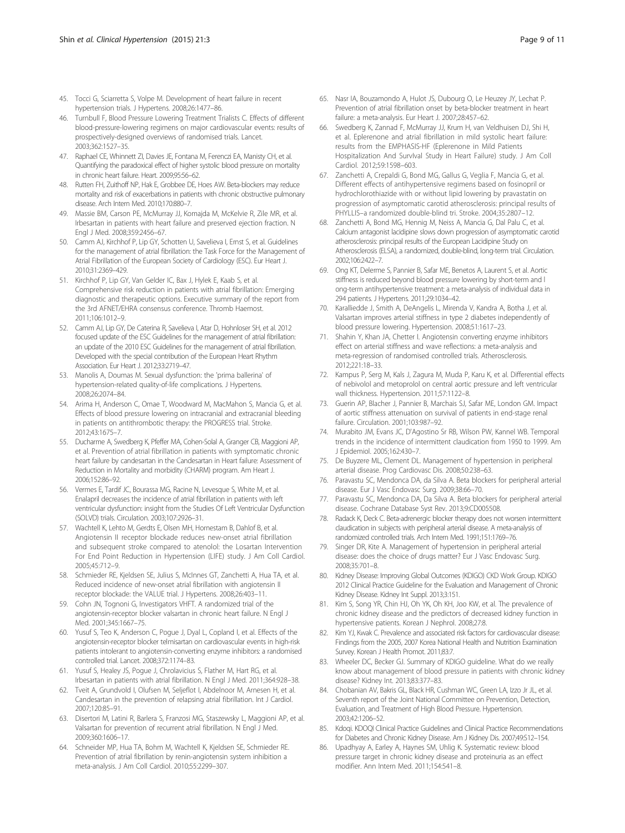- <span id="page-8-0"></span>45. Tocci G, Sciarretta S, Volpe M. Development of heart failure in recent hypertension trials. J Hypertens. 2008;26:1477–86.
- 46. Turnbull F, Blood Pressure Lowering Treatment Trialists C. Effects of different blood-pressure-lowering regimens on major cardiovascular events: results of prospectively-designed overviews of randomised trials. Lancet. 2003;362:1527–35.
- 47. Raphael CE, Whinnett ZI, Davies JE, Fontana M, Ferenczi EA, Manisty CH, et al. Quantifying the paradoxical effect of higher systolic blood pressure on mortality in chronic heart failure. Heart. 2009;95:56–62.
- 48. Rutten FH, Zuithoff NP, Hak E, Grobbee DE, Hoes AW. Beta-blockers may reduce mortality and risk of exacerbations in patients with chronic obstructive pulmonary disease. Arch Intern Med. 2010;170:880–7.
- 49. Massie BM, Carson PE, McMurray JJ, Komajda M, McKelvie R, Zile MR, et al. Irbesartan in patients with heart failure and preserved ejection fraction. N Engl J Med. 2008;359:2456–67.
- 50. Camm AJ, Kirchhof P, Lip GY, Schotten U, Savelieva I, Ernst S, et al. Guidelines for the management of atrial fibrillation: the Task Force for the Management of Atrial Fibrillation of the European Society of Cardiology (ESC). Eur Heart J. 2010;31:2369–429.
- 51. Kirchhof P, Lip GY, Van Gelder IC, Bax J, Hylek E, Kaab S, et al. Comprehensive risk reduction in patients with atrial fibrillation: Emerging diagnostic and therapeutic options. Executive summary of the report from the 3rd AFNET/EHRA consensus conference. Thromb Haemost. 2011;106:1012–9.
- 52. Camm AJ, Lip GY, De Caterina R, Savelieva I, Atar D, Hohnloser SH, et al. 2012 focused update of the ESC Guidelines for the management of atrial fibrillation: an update of the 2010 ESC Guidelines for the management of atrial fibrillation. Developed with the special contribution of the European Heart Rhythm Association. Eur Heart J. 2012;33:2719–47.
- 53. Manolis A, Doumas M. Sexual dysfunction: the 'prima ballerina' of hypertension-related quality-of-life complications. J Hypertens. 2008;26:2074–84.
- 54. Arima H, Anderson C, Omae T, Woodward M, MacMahon S, Mancia G, et al. Effects of blood pressure lowering on intracranial and extracranial bleeding in patients on antithrombotic therapy: the PROGRESS trial. Stroke. 2012;43:1675–7.
- 55. Ducharme A, Swedberg K, Pfeffer MA, Cohen-Solal A, Granger CB, Maggioni AP, et al. Prevention of atrial fibrillation in patients with symptomatic chronic heart failure by candesartan in the Candesartan in Heart failure: Assessment of Reduction in Mortality and morbidity (CHARM) program. Am Heart J. 2006;152:86–92.
- 56. Vermes E, Tardif JC, Bourassa MG, Racine N, Levesque S, White M, et al. Enalapril decreases the incidence of atrial fibrillation in patients with left ventricular dysfunction: insight from the Studies Of Left Ventricular Dysfunction (SOLVD) trials. Circulation. 2003;107:2926–31.
- 57. Wachtell K, Lehto M, Gerdts E, Olsen MH, Hornestam B, Dahlof B, et al. Angiotensin II receptor blockade reduces new-onset atrial fibrillation and subsequent stroke compared to atenolol: the Losartan Intervention For End Point Reduction in Hypertension (LIFE) study. J Am Coll Cardiol. 2005;45:712–9.
- 58. Schmieder RE, Kjeldsen SE, Julius S, McInnes GT, Zanchetti A, Hua TA, et al. Reduced incidence of new-onset atrial fibrillation with angiotensin II receptor blockade: the VALUE trial. J Hypertens. 2008;26:403–11.
- 59. Cohn JN, Tognoni G, Investigators VHFT. A randomized trial of the angiotensin-receptor blocker valsartan in chronic heart failure. N Engl J Med. 2001;345:1667–75.
- 60. Yusuf S, Teo K, Anderson C, Pogue J, Dyal L, Copland I, et al. Effects of the angiotensin-receptor blocker telmisartan on cardiovascular events in high-risk patients intolerant to angiotensin-converting enzyme inhibitors: a randomised controlled trial. Lancet. 2008;372:1174–83.
- 61. Yusuf S, Healey JS, Pogue J, Chrolavicius S, Flather M, Hart RG, et al. Irbesartan in patients with atrial fibrillation. N Engl J Med. 2011;364:928–38.
- 62. Tveit A, Grundvold I, Olufsen M, Seljeflot I, Abdelnoor M, Arnesen H, et al. Candesartan in the prevention of relapsing atrial fibrillation. Int J Cardiol. 2007;120:85–91.
- 63. Disertori M, Latini R, Barlera S, Franzosi MG, Staszewsky L, Maggioni AP, et al. Valsartan for prevention of recurrent atrial fibrillation. N Engl J Med. 2009;360:1606–17.
- 64. Schneider MP, Hua TA, Bohm M, Wachtell K, Kjeldsen SE, Schmieder RE. Prevention of atrial fibrillation by renin-angiotensin system inhibition a meta-analysis. J Am Coll Cardiol. 2010;55:2299–307.
- 65. Nasr IA, Bouzamondo A, Hulot JS, Dubourg O, Le Heuzey JY, Lechat P. Prevention of atrial fibrillation onset by beta-blocker treatment in heart failure: a meta-analysis. Eur Heart J. 2007;28:457–62.
- 66. Swedberg K, Zannad F, McMurray JJ, Krum H, van Veldhuisen DJ, Shi H, et al. Eplerenone and atrial fibrillation in mild systolic heart failure: results from the EMPHASIS-HF (Eplerenone in Mild Patients Hospitalization And SurvIval Study in Heart Failure) study. J Am Coll Cardiol. 2012;59:1598–603.
- 67. Zanchetti A, Crepaldi G, Bond MG, Gallus G, Veglia F, Mancia G, et al. Different effects of antihypertensive regimens based on fosinopril or hydrochlorothiazide with or without lipid lowering by pravastatin on progression of asymptomatic carotid atherosclerosis: principal results of PHYLLIS–a randomized double-blind tri. Stroke. 2004;35:2807–12.
- 68. Zanchetti A, Bond MG, Hennig M, Neiss A, Mancia G, Dal Palu C, et al. Calcium antagonist lacidipine slows down progression of asymptomatic carotid atherosclerosis: principal results of the European Lacidipine Study on Atherosclerosis (ELSA), a randomized, double-blind, long-term trial. Circulation. 2002;106:2422–7.
- 69. Ong KT, Delerme S, Pannier B, Safar ME, Benetos A, Laurent S, et al. Aortic stiffness is reduced beyond blood pressure lowering by short-term and l ong-term antihypertensive treatment: a meta-analysis of individual data in 294 patients. J Hypertens. 2011;29:1034–42.
- 70. Karalliedde J, Smith A, DeAngelis L, Mirenda V, Kandra A, Botha J, et al. Valsartan improves arterial stiffness in type 2 diabetes independently of blood pressure lowering. Hypertension. 2008;51:1617–23.
- 71. Shahin Y, Khan JA, Chetter I. Angiotensin converting enzyme inhibitors effect on arterial stiffness and wave reflections: a meta-analysis and meta-regression of randomised controlled trials. Atherosclerosis. 2012;221:18–33.
- 72. Kampus P, Serg M, Kals J, Zagura M, Muda P, Karu K, et al. Differential effects of nebivolol and metoprolol on central aortic pressure and left ventricular wall thickness. Hypertension. 2011;57:1122–8.
- 73. Guerin AP, Blacher J, Pannier B, Marchais SJ, Safar ME, London GM. Impact of aortic stiffness attenuation on survival of patients in end-stage renal failure. Circulation. 2001;103:987–92.
- 74. Murabito JM, Evans JC, D'Agostino Sr RB, Wilson PW, Kannel WB. Temporal trends in the incidence of intermittent claudication from 1950 to 1999. Am J Epidemiol. 2005;162:430–7.
- 75. De Buyzere ML, Clement DL. Management of hypertension in peripheral arterial disease. Prog Cardiovasc Dis. 2008;50:238–63.
- 76. Paravastu SC, Mendonca DA, da Silva A. Beta blockers for peripheral arterial disease. Eur J Vasc Endovasc Surg. 2009;38:66–70.
- 77. Paravastu SC, Mendonca DA, Da Silva A. Beta blockers for peripheral arterial disease. Cochrane Database Syst Rev. 2013;9:CD005508.
- 78. Radack K, Deck C. Beta-adrenergic blocker therapy does not worsen intermittent claudication in subjects with peripheral arterial disease. A meta-analysis of randomized controlled trials. Arch Intern Med. 1991;151:1769–76.
- 79. Singer DR, Kite A. Management of hypertension in peripheral arterial disease: does the choice of drugs matter? Eur J Vasc Endovasc Surg. 2008;35:701–8.
- 80. Kidney Disease: Improving Global Outcomes (KDIGO) CKD Work Group. KDIGO 2012 Clinical Practice Guideline for the Evaluation and Management of Chronic Kidney Disease. Kidney Int Suppl. 2013;3:151.
- 81. Kim S, Song YR, Chin HJ, Oh YK, Oh KH, Joo KW, et al. The prevalence of chronic kidney disease and the predictors of decreased kidney function in hypertensive patients. Korean J Nephrol. 2008;27:8.
- Kim YJ, Kwak C. Prevalence and associated risk factors for cardiovascular disease: Findings from the 2005, 2007 Korea National Health and Nutrition Examination Survey. Korean J Health Promot. 2011;83:7.
- 83. Wheeler DC, Becker GJ. Summary of KDIGO guideline. What do we really know about management of blood pressure in patients with chronic kidney disease? Kidney Int. 2013;83:377–83.
- 84. Chobanian AV, Bakris GL, Black HR, Cushman WC, Green LA, Izzo Jr JL, et al. Seventh report of the Joint National Committee on Prevention, Detection, Evaluation, and Treatment of High Blood Pressure. Hypertension. 2003;42:1206–52.
- 85. Kdoqi. KDOQI Clinical Practice Guidelines and Clinical Practice Recommendations for Diabetes and Chronic Kidney Disease. Am J Kidney Dis. 2007;49:S12–154.
- 86. Upadhyay A, Earley A, Haynes SM, Uhlig K. Systematic review: blood pressure target in chronic kidney disease and proteinuria as an effect modifier. Ann Intern Med. 2011;154:541–8.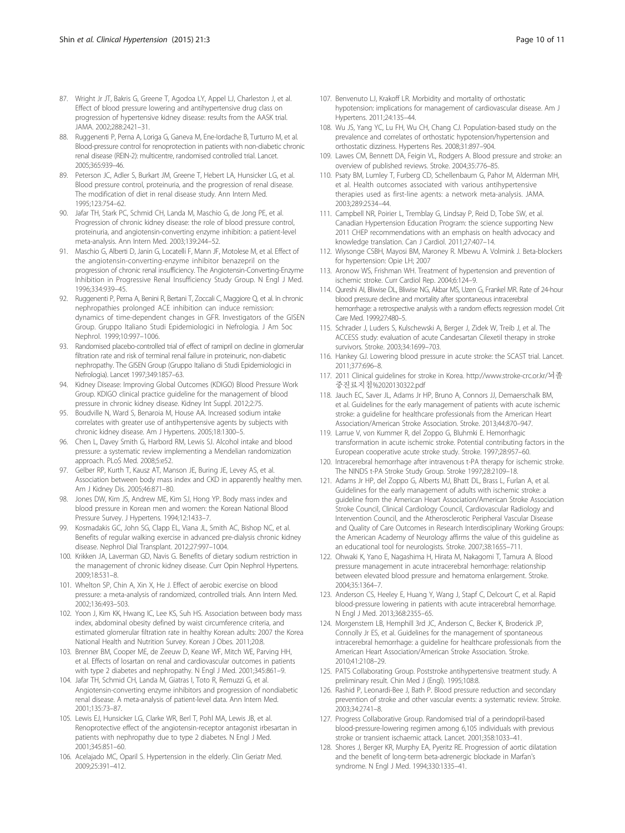- <span id="page-9-0"></span>87. Wright Jr JT, Bakris G, Greene T, Agodoa LY, Appel LJ, Charleston J, et al. Effect of blood pressure lowering and antihypertensive drug class on progression of hypertensive kidney disease: results from the AASK trial. JAMA. 2002;288:2421–31.
- 88. Ruggenenti P, Perna A, Loriga G, Ganeva M, Ene-Iordache B, Turturro M, et al. Blood-pressure control for renoprotection in patients with non-diabetic chronic renal disease (REIN-2): multicentre, randomised controlled trial. Lancet. 2005;365:939–46.
- 89. Peterson JC, Adler S, Burkart JM, Greene T, Hebert LA, Hunsicker LG, et al. Blood pressure control, proteinuria, and the progression of renal disease. The modification of diet in renal disease study. Ann Intern Med. 1995;123:754–62.
- 90. Jafar TH, Stark PC, Schmid CH, Landa M, Maschio G, de Jong PE, et al. Progression of chronic kidney disease: the role of blood pressure control, proteinuria, and angiotensin-converting enzyme inhibition: a patient-level meta-analysis. Ann Intern Med. 2003;139:244–52.
- 91. Maschio G, Alberti D, Janin G, Locatelli F, Mann JF, Motolese M, et al. Effect of the angiotensin-converting-enzyme inhibitor benazepril on the progression of chronic renal insufficiency. The Angiotensin-Converting-Enzyme Inhibition in Progressive Renal Insufficiency Study Group. N Engl J Med. 1996;334:939–45.
- 92. Ruggenenti P, Perna A, Benini R, Bertani T, Zoccali C, Maggiore Q, et al. In chronic nephropathies prolonged ACE inhibition can induce remission: dynamics of time-dependent changes in GFR. Investigators of the GISEN Group. Gruppo Italiano Studi Epidemiologici in Nefrologia. J Am Soc Nephrol. 1999;10:997–1006.
- 93. Randomised placebo-controlled trial of effect of ramipril on decline in glomerular filtration rate and risk of terminal renal failure in proteinuric, non-diabetic nephropathy. The GISEN Group (Gruppo Italiano di Studi Epidemiologici in Nefrologia). Lancet 1997;349:1857–63.
- 94. Kidney Disease: Improving Global Outcomes (KDIGO) Blood Pressure Work Group. KDIGO clinical practice guideline for the management of blood pressure in chronic kidney disease. Kidney Int Suppl. 2012;2:75.
- 95. Boudville N, Ward S, Benaroia M, House AA. Increased sodium intake correlates with greater use of antihypertensive agents by subjects with chronic kidney disease. Am J Hypertens. 2005;18:1300–5.
- 96. Chen L, Davey Smith G, Harbord RM, Lewis SJ. Alcohol intake and blood pressure: a systematic review implementing a Mendelian randomization approach. PLoS Med. 2008;5:e52.
- 97. Gelber RP, Kurth T, Kausz AT, Manson JE, Buring JE, Levey AS, et al. Association between body mass index and CKD in apparently healthy men. Am J Kidney Dis. 2005;46:871–80.
- 98. Jones DW, Kim JS, Andrew ME, Kim SJ, Hong YP. Body mass index and blood pressure in Korean men and women: the Korean National Blood Pressure Survey. J Hypertens. 1994;12:1433–7.
- Kosmadakis GC, John SG, Clapp EL, Viana JL, Smith AC, Bishop NC, et al. Benefits of regular walking exercise in advanced pre-dialysis chronic kidney disease. Nephrol Dial Transplant. 2012;27:997–1004.
- 100. Krikken JA, Laverman GD, Navis G. Benefits of dietary sodium restriction in the management of chronic kidney disease. Curr Opin Nephrol Hypertens. 2009;18:531–8.
- 101. Whelton SP, Chin A, Xin X, He J. Effect of aerobic exercise on blood pressure: a meta-analysis of randomized, controlled trials. Ann Intern Med. 2002;136:493–503.
- 102. Yoon J, Kim KK, Hwang IC, Lee KS, Suh HS. Association between body mass index, abdominal obesity defined by waist circumference criteria, and estimated glomerular filtration rate in healthy Korean adults: 2007 the Korea National Health and Nutrition Survey. Korean J Obes. 2011;20:8.
- 103. Brenner BM, Cooper ME, de Zeeuw D, Keane WF, Mitch WE, Parving HH, et al. Effects of losartan on renal and cardiovascular outcomes in patients with type 2 diabetes and nephropathy. N Engl J Med. 2001;345:861–9.
- 104. Jafar TH, Schmid CH, Landa M, Giatras I, Toto R, Remuzzi G, et al. Angiotensin-converting enzyme inhibitors and progression of nondiabetic renal disease. A meta-analysis of patient-level data. Ann Intern Med. 2001;135:73–87.
- 105. Lewis EJ, Hunsicker LG, Clarke WR, Berl T, Pohl MA, Lewis JB, et al. Renoprotective effect of the angiotensin-receptor antagonist irbesartan in patients with nephropathy due to type 2 diabetes. N Engl J Med. 2001;345:851–60.
- 106. Acelajado MC, Oparil S. Hypertension in the elderly. Clin Geriatr Med. 2009;25:391–412.
- 107. Benvenuto LJ, Krakoff LR. Morbidity and mortality of orthostatic hypotension: implications for management of cardiovascular disease. Am J Hypertens. 2011;24:135–44.
- 108. Wu JS, Yang YC, Lu FH, Wu CH, Chang CJ. Population-based study on the prevalence and correlates of orthostatic hypotension/hypertension and orthostatic dizziness. Hypertens Res. 2008;31:897–904.
- 109. Lawes CM, Bennett DA, Feigin VL, Rodgers A. Blood pressure and stroke: an overview of published reviews. Stroke. 2004;35:776–85.
- 110. Psaty BM, Lumley T, Furberg CD, Schellenbaum G, Pahor M, Alderman MH, et al. Health outcomes associated with various antihypertensive therapies used as first-line agents: a network meta-analysis. JAMA. 2003;289:2534–44.
- 111. Campbell NR, Poirier L, Tremblay G, Lindsay P, Reid D, Tobe SW, et al. Canadian Hypertension Education Program: the science supporting New 2011 CHEP recommendations with an emphasis on health advocacy and knowledge translation. Can J Cardiol. 2011;27:407–14.
- 112. Wiysonge CSBH, Mayosi BM, Maroney R. Mbewu A. Volmink J. Beta-blockers for hypertension: Opie LH; 2007
- 113. Aronow WS, Frishman WH. Treatment of hypertension and prevention of ischemic stroke. Curr Cardiol Rep. 2004;6:124–9.
- 114. Qureshi AI, Bliwise DL, Bliwise NG, Akbar MS, Uzen G, Frankel MR. Rate of 24-hour blood pressure decline and mortality after spontaneous intracerebral hemorrhage: a retrospective analysis with a random effects regression model. Crit Care Med. 1999;27:480–5.
- 115. Schrader J, Luders S, Kulschewski A, Berger J, Zidek W, Treib J, et al. The ACCESS study: evaluation of acute Candesartan Cilexetil therapy in stroke survivors. Stroke. 2003;34:1699–703.
- 116. Hankey GJ. Lowering blood pressure in acute stroke: the SCAST trial. Lancet. 2011;377:696–8.
- 117. 2011 Clinical guidelines for stroke in Korea. [http://www.stroke-crc.or.kr/](http://www.stroke-crc.or.kr/%EB%87%8C%EC%A1%B8%EC%A4%91%EC%A7%84%EB%A3%8C%EC%A7%80%EC%B9%A8%2020130322.pdf)뇌졸 중진료지침[%2020130322.pdf](http://www.stroke-crc.or.kr/%EB%87%8C%EC%A1%B8%EC%A4%91%EC%A7%84%EB%A3%8C%EC%A7%80%EC%B9%A8%2020130322.pdf)
- 118. Jauch EC, Saver JL, Adams Jr HP, Bruno A, Connors JJ, Demaerschalk BM, et al. Guidelines for the early management of patients with acute ischemic stroke: a guideline for healthcare professionals from the American Heart Association/American Stroke Association. Stroke. 2013;44:870–947.
- 119. Larrue V, von Kummer R, del Zoppo G, Bluhmki E. Hemorrhagic transformation in acute ischemic stroke. Potential contributing factors in the European cooperative acute stroke study. Stroke. 1997;28:957–60.
- 120. Intracerebral hemorrhage after intravenous t-PA therapy for ischemic stroke. The NINDS t-PA Stroke Study Group. Stroke 1997;28:2109–18.
- 121. Adams Jr HP, del Zoppo G, Alberts MJ, Bhatt DL, Brass L, Furlan A, et al. Guidelines for the early management of adults with ischemic stroke: a guideline from the American Heart Association/American Stroke Association Stroke Council, Clinical Cardiology Council, Cardiovascular Radiology and Intervention Council, and the Atherosclerotic Peripheral Vascular Disease and Quality of Care Outcomes in Research Interdisciplinary Working Groups: the American Academy of Neurology affirms the value of this guideline as an educational tool for neurologists. Stroke. 2007;38:1655–711.
- 122. Ohwaki K, Yano E, Nagashima H, Hirata M, Nakagomi T, Tamura A. Blood pressure management in acute intracerebral hemorrhage: relationship between elevated blood pressure and hematoma enlargement. Stroke. 2004;35:1364–7.
- 123. Anderson CS, Heeley E, Huang Y, Wang J, Stapf C, Delcourt C, et al. Rapid blood-pressure lowering in patients with acute intracerebral hemorrhage. N Engl J Med. 2013;368:2355–65.
- 124. Morgenstern LB, Hemphill 3rd JC, Anderson C, Becker K, Broderick JP, Connolly Jr ES, et al. Guidelines for the management of spontaneous intracerebral hemorrhage: a guideline for healthcare professionals from the American Heart Association/American Stroke Association. Stroke. 2010;41:2108–29.
- 125. PATS Collaborating Group. Poststroke antihypertensive treatment study. A preliminary result. Chin Med J (Engl). 1995;108:8.
- 126. Rashid P, Leonardi-Bee J, Bath P. Blood pressure reduction and secondary prevention of stroke and other vascular events: a systematic review. Stroke. 2003;34:2741–8.
- 127. Progress Collaborative Group. Randomised trial of a perindopril-based blood-pressure-lowering regimen among 6,105 individuals with previous stroke or transient ischaemic attack. Lancet. 2001;358:1033–41.
- 128. Shores J, Berger KR, Murphy EA, Pyeritz RE. Progression of aortic dilatation and the benefit of long-term beta-adrenergic blockade in Marfan's syndrome. N Engl J Med. 1994;330:1335–41.